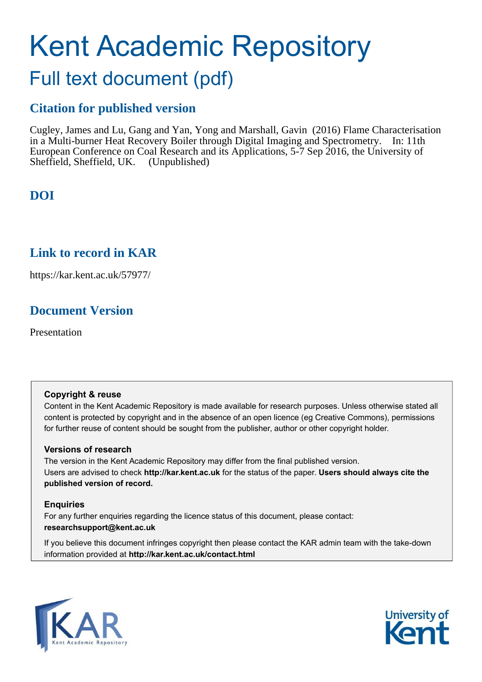# Kent Academic Repository

## Full text document (pdf)

## **Citation for published version**

Cugley, James and Lu, Gang and Yan, Yong and Marshall, Gavin (2016) Flame Characterisation in a Multi-burner Heat Recovery Boiler through Digital Imaging and Spectrometry. In: 11th European Conference on Coal Research and its Applications, 5-7 Sep 2016, the University of Sheffield, Sheffield, UK. (Unpublished)

## **DOI**

### **Link to record in KAR**

https://kar.kent.ac.uk/57977/

## **Document Version**

Presentation

#### **Copyright & reuse**

Content in the Kent Academic Repository is made available for research purposes. Unless otherwise stated all content is protected by copyright and in the absence of an open licence (eg Creative Commons), permissions for further reuse of content should be sought from the publisher, author or other copyright holder.

#### **Versions of research**

The version in the Kent Academic Repository may differ from the final published version. Users are advised to check **http://kar.kent.ac.uk** for the status of the paper. **Users should always cite the published version of record.**

#### **Enquiries**

For any further enquiries regarding the licence status of this document, please contact: **researchsupport@kent.ac.uk**

If you believe this document infringes copyright then please contact the KAR admin team with the take-down information provided at **http://kar.kent.ac.uk/contact.html**